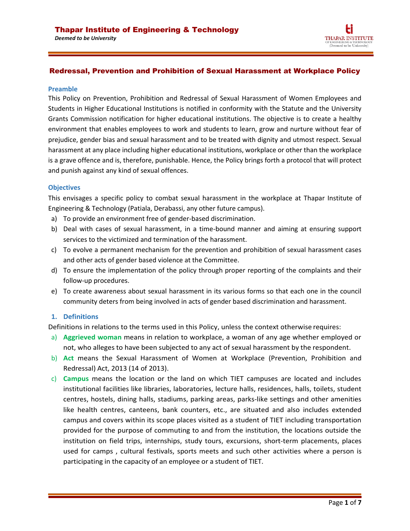*Deemed to be University*



# Redressal, Prevention and Prohibition of Sexual Harassment at Workplace Policy

#### **Preamble**

This Policy on Prevention, Prohibition and Redressal of Sexual Harassment of Women Employees and Students in Higher Educational Institutions is notified in conformity with the Statute and the University Grants Commission notification for higher educational institutions. The objective is to create a healthy environment that enables employees to work and students to learn, grow and nurture without fear of prejudice, gender bias and sexual harassment and to be treated with dignity and utmost respect. Sexual harassment at any place including higher educational institutions, workplace or other than the workplace is a grave offence and is, therefore, punishable. Hence, the Policy brings forth a protocol that will protect and punish against any kind of sexual offences.

#### **Objectives**

This envisages a specific policy to combat sexual harassment in the workplace at Thapar Institute of Engineering & Technology (Patiala, Derabassi, any other future campus).

- a) To provide an environment free of gender-based discrimination.
- b) Deal with cases of sexual harassment, in a time-bound manner and aiming at ensuring support services to the victimized and termination of the harassment.
- c) To evolve a permanent mechanism for the prevention and prohibition of sexual harassment cases and other acts of gender based violence at the Committee.
- d) To ensure the implementation of the policy through proper reporting of the complaints and their follow-up procedures.
- e) To create awareness about sexual harassment in its various forms so that each one in the council community deters from being involved in acts of gender based discrimination and harassment.

## 1. Definitions

Definitions in relations to the terms used in this Policy, unless the context otherwise requires:

- a) **Aggrieved woman** means in relation to workplace, a woman of any age whether employed or not, who alleges to have been subjected to any act of sexual harassment by the respondent.
- b) **Act** means the Sexual Harassment of Women at Workplace (Prevention, Prohibition and Redressal) Act, 2013 (14 of 2013).
- c) **Campus** means the location or the land on which TIET campuses are located and includes institutional facilities like libraries, laboratories, lecture halls, residences, halls, toilets, student centres, hostels, dining halls, stadiums, parking areas, parks-like settings and other amenities like health centres, canteens, bank counters, etc., are situated and also includes extended campus and covers within its scope places visited as a student of TIET including transportation provided for the purpose of commuting to and from the institution, the locations outside the institution on field trips, internships, study tours, excursions, short-term placements, places used for camps , cultural festivals, sports meets and such other activities where a person is participating in the capacity of an employee or a student of TIET.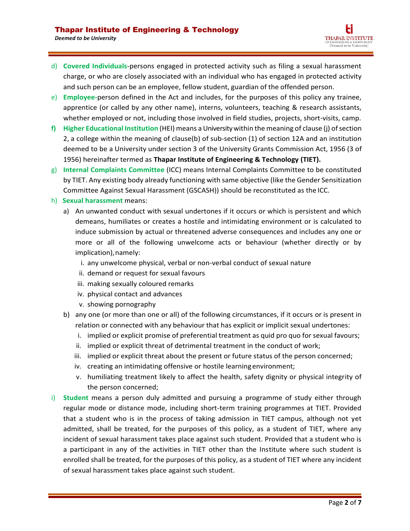- d) **Covered Individuals**-persons engaged in protected activity such as filing a sexual harassment charge, or who are closely associated with an individual who has engaged in protected activity and such person can be an employee, fellow student, guardian of the offended person.
- e) **Employee-**person defined in the Act and includes, for the purposes of this policy any trainee, apprentice (or called by any other name), interns, volunteers, teaching & research assistants, whether employed or not, including those involved in field studies, projects, short-visits, camp.
- **f) Higher Educational Institution** (HEI) means aUniversitywithin the meaning of clause (j) ofsection 2, a college within the meaning of clause(b) of sub-section (1) of section 12A and an institution deemed to be a University under section 3 of the University Grants Commission Act, 1956 (3 of 1956) hereinafter termed as **Thapar Institute of Engineering & Technology (TIET).**
- g) **Internal Complaints Committee** (ICC) means Internal Complaints Committee to be constituted by TIET. Any existing body already functioning with same objective (like the Gender Sensitization Committee Against Sexual Harassment (GSCASH)) should be reconstituted as the ICC.
- h) **Sexual harassment** means:
	- a) An unwanted conduct with sexual undertones if it occurs or which is persistent and which demeans, humiliates or creates a hostile and intimidating environment or is calculated to induce submission by actual or threatened adverse consequences and includes any one or more or all of the following unwelcome acts or behaviour (whether directly or by implication), namely:
		- i. any unwelcome physical, verbal or non-verbal conduct of sexual nature
		- ii. demand or request for sexual favours
		- iii. making sexually coloured remarks
		- iv. physical contact and advances
		- v. showing pornography
	- b) any one (or more than one or all) of the following circumstances, if it occurs or is present in relation or connected with any behaviour that has explicit or implicit sexual undertones:
		- i. implied or explicit promise of preferential treatment as quid pro quo for sexual favours;
		- ii. implied or explicit threat of detrimental treatment in the conduct of work;
		- iii. implied or explicit threat about the present or future status of the person concerned;
		- iv. creating an intimidating offensive or hostile learningenvironment;
		- v. humiliating treatment likely to affect the health, safety dignity or physical integrity of the person concerned;
- i) **Student** means a person duly admitted and pursuing a programme of study either through regular mode or distance mode, including short-term training programmes at TIET. Provided that a student who is in the process of taking admission in TIET campus, although not yet admitted, shall be treated, for the purposes of this policy, as a student of TIET, where any incident of sexual harassment takes place against such student. Provided that a student who is a participant in any of the activities in TIET other than the Institute where such student is enrolled shall be treated, for the purposes of this policy, as a student of TIET where any incident of sexual harassment takes place against such student.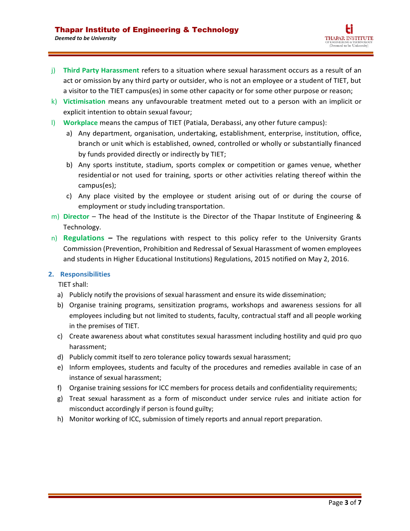- j) **Third Party Harassment** refers to a situation where sexual harassment occurs as a result of an act or omission by any third party or outsider, who is not an employee or a student of TIET, but a visitor to the TIET campus(es) in some other capacity or for some other purpose or reason;
- k) **Victimisation** means any unfavourable treatment meted out to a person with an implicit or explicit intention to obtain sexual favour;
- l) **Workplace** means the campus of TIET (Patiala, Derabassi, any other future campus):
	- a) Any department, organisation, undertaking, establishment, enterprise, institution, office, branch or unit which is established, owned, controlled or wholly or substantially financed by funds provided directly or indirectly by TIET;
	- b) Any sports institute, stadium, sports complex or competition or games venue, whether residential or not used for training, sports or other activities relating thereof within the campus(es);
	- c) Any place visited by the employee or student arising out of or during the course of employment or study including transportation.
- m) **Director** The head of the Institute is the Director of the Thapar Institute of Engineering & Technology.
- n) **Regulations** *–* The regulations with respect to this policy refer to the University Grants Commission (Prevention, Prohibition and Redressal of Sexual Harassment of women employees and students in Higher Educational Institutions) Regulations, 2015 notified on May 2, 2016.

# 2. Responsibilities

TIET shall:

- a) Publicly notify the provisions of sexual harassment and ensure its wide dissemination;
- b) Organise training programs, sensitization programs, workshops and awareness sessions for all employees including but not limited to students, faculty, contractual staff and all people working in the premises of TIET.
- c) Create awareness about what constitutes sexual harassment including hostility and quid pro quo harassment;
- d) Publicly commit itself to zero tolerance policy towards sexual harassment;
- e) Inform employees, students and faculty of the procedures and remedies available in case of an instance of sexual harassment;
- f) Organise training sessions for ICC members for process details and confidentiality requirements;
- g) Treat sexual harassment as a form of misconduct under service rules and initiate action for misconduct accordingly if person is found guilty;
- h) Monitor working of ICC, submission of timely reports and annual report preparation.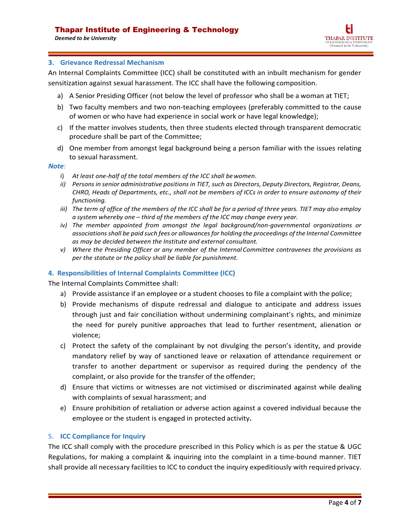*Deemed to be University*

# 3. Grievance Redressal Mechanism

An Internal Complaints Committee (ICC) shall be constituted with an inbuilt mechanism for gender sensitization against sexual harassment. The ICC shall have the following composition.

- a) A Senior Presiding Officer (not below the level of professor who shall be a woman at TIET;
- b) Two faculty members and two non-teaching employees (preferably committed to the cause of women or who have had experience in social work or have legal knowledge);
- c) If the matter involves students, then three students elected through transparent democratic procedure shall be part of the Committee;
- d) One member from amongst legal background being a person familiar with the issues relating to sexual harassment.

## Note:

- i) *At least one-half of the total members of the ICC shall bewomen*.
- *ii) Persons in senior administrative positions in TIET, such as Directors, Deputy Directors, Registrar, Deans, CHRO, Heads of Departments, etc., shall not be members of ICCs in order to ensure autonomy of their functioning.*
- *iii) The term of office of the members of the ICC shall be for a period of three years. TIET may also employ a system whereby one – third of the members of the ICC may change every year.*
- *iv) The member appointed from amongst the legal background/non-governmental organizations or associations shall be paid such fees or allowancesfor holding the proceedings ofthe Internal Committee as may be decided between the Institute and external consultant.*
- *v) Where the Presiding Officer or any member of the Internal Committee contravenes the provisions as per the statute or the policy shall be liable for punishment.*

# 4. Responsibilities of Internal Complaints Committee (ICC)

The Internal Complaints Committee shall:

- a) Provide assistance if an employee or a student chooses to file a complaint with the police;
- b) Provide mechanisms of dispute redressal and dialogue to anticipate and address issues through just and fair conciliation without undermining complainant's rights, and minimize the need for purely punitive approaches that lead to further resentment, alienation or violence;
- c) Protect the safety of the complainant by not divulging the person's identity, and provide mandatory relief by way of sanctioned leave or relaxation of attendance requirement or transfer to another department or supervisor as required during the pendency of the complaint, or also provide for the transfer of the offender;
- d) Ensure that victims or witnesses are not victimised or discriminated against while dealing with complaints of sexual harassment; and
- e) Ensure prohibition of retaliation or adverse action against a covered individual because the employee or the student is engaged in protected activity**.**

# **5. ICC Compliance for Inquiry**

The ICC shall comply with the procedure prescribed in this Policy which is as per the statue & UGC Regulations, for making a complaint & inquiring into the complaint in a time-bound manner. TIET shall provide all necessary facilities to ICC to conduct the inquiry expeditiously with required privacy.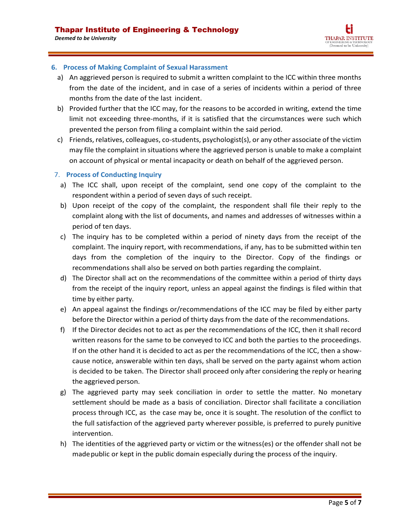# 6. Process of Making Complaint of Sexual Harassment

- a) An aggrieved person is required to submit a written complaint to the ICC within three months from the date of the incident, and in case of a series of incidents within a period of three months from the date of the last incident.
- b) Provided further that the ICC may, for the reasons to be accorded in writing, extend the time limit not exceeding three-months, if it is satisfied that the circumstances were such which prevented the person from filing a complaint within the said period.
- c) Friends, relatives, colleagues, co-students, psychologist(s), or any other associate of the victim may file the complaint in situations where the aggrieved person is unable to make a complaint on account of physical or mental incapacity or death on behalf of the aggrieved person.

# 7. Process of Conducting Inquiry

- a) The ICC shall, upon receipt of the complaint, send one copy of the complaint to the respondent within a period of seven days of such receipt.
- b) Upon receipt of the copy of the complaint, the respondent shall file their reply to the complaint along with the list of documents, and names and addresses of witnesses within a period of ten days.
- c) The inquiry has to be completed within a period of ninety days from the receipt of the complaint. The inquiry report, with recommendations, if any, has to be submitted within ten days from the completion of the inquiry to the Director. Copy of the findings or recommendations shall also be served on both parties regarding the complaint.
- d) The Director shall act on the recommendations of the committee within a period of thirty days from the receipt of the inquiry report, unless an appeal against the findings is filed within that time by either party.
- e) An appeal against the findings or/recommendations of the ICC may be filed by either party before the Director within a period of thirty days from the date of the recommendations.
- f) If the Director decides not to act as per the recommendations of the ICC, then it shall record written reasons for the same to be conveyed to ICC and both the parties to the proceedings. If on the other hand it is decided to act as per the recommendations of the ICC, then a showcause notice, answerable within ten days, shall be served on the party against whom action is decided to be taken. The Director shall proceed only after considering the reply or hearing the aggrieved person.
- g) The aggrieved party may seek conciliation in order to settle the matter. No monetary settlement should be made as a basis of conciliation. Director shall facilitate a conciliation process through ICC, as the case may be, once it is sought. The resolution of the conflict to the full satisfaction of the aggrieved party wherever possible, is preferred to purely punitive intervention.
- h) The identities of the aggrieved party or victim or the witness(es) or the offender shall not be madepublic or kept in the public domain especially during the process of the inquiry.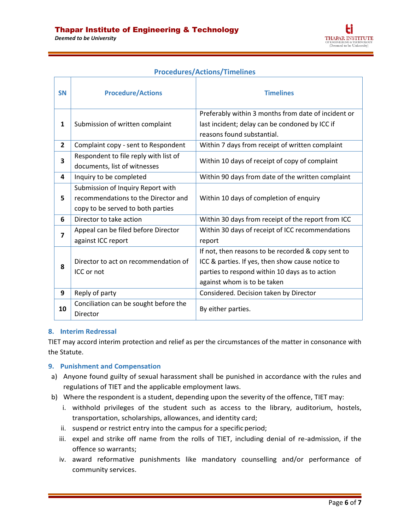Łi THAPAR INSTITUTE F ENGINEERING & TECHNOLOG<br>(Deemed to be University)

| <b>Procedures/Actions/Timelines</b> |  |
|-------------------------------------|--|
|                                     |  |

| <b>SN</b>      | <b>Procedure/Actions</b>                                                                                      | <b>Timelines</b>                                                                                                                                                                        |
|----------------|---------------------------------------------------------------------------------------------------------------|-----------------------------------------------------------------------------------------------------------------------------------------------------------------------------------------|
| 1              | Submission of written complaint                                                                               | Preferably within 3 months from date of incident or<br>last incident; delay can be condoned by ICC if<br>reasons found substantial.                                                     |
| $\overline{2}$ | Complaint copy - sent to Respondent                                                                           | Within 7 days from receipt of written complaint                                                                                                                                         |
| 3              | Respondent to file reply with list of<br>documents, list of witnesses                                         | Within 10 days of receipt of copy of complaint                                                                                                                                          |
| 4              | Inquiry to be completed                                                                                       | Within 90 days from date of the written complaint                                                                                                                                       |
| 5              | Submission of Inquiry Report with<br>recommendations to the Director and<br>copy to be served to both parties | Within 10 days of completion of enquiry                                                                                                                                                 |
| 6              | Director to take action                                                                                       | Within 30 days from receipt of the report from ICC                                                                                                                                      |
| 7              | Appeal can be filed before Director<br>against ICC report                                                     | Within 30 days of receipt of ICC recommendations<br>report                                                                                                                              |
| 8              | Director to act on recommendation of<br>ICC or not                                                            | If not, then reasons to be recorded & copy sent to<br>ICC & parties. If yes, then show cause notice to<br>parties to respond within 10 days as to action<br>against whom is to be taken |
| 9              | Reply of party                                                                                                | Considered. Decision taken by Director                                                                                                                                                  |
| 10             | Conciliation can be sought before the<br>Director                                                             | By either parties.                                                                                                                                                                      |

# 8. Interim Redressal

TIET may accord interim protection and relief as per the circumstances of the matter in consonance with the Statute.

## 9. Punishment and Compensation

- a) Anyone found guilty of sexual harassment shall be punished in accordance with the rules and regulations of TIET and the applicable employment laws.
- b) Where the respondent is a student, depending upon the severity of the offence, TIET may:
	- i. withhold privileges of the student such as access to the library, auditorium, hostels, transportation, scholarships, allowances, and identity card;
	- ii. suspend or restrict entry into the campus for a specific period;
	- iii. expel and strike off name from the rolls of TIET, including denial of re-admission, if the offence so warrants;
	- iv. award reformative punishments like mandatory counselling and/or performance of community services.